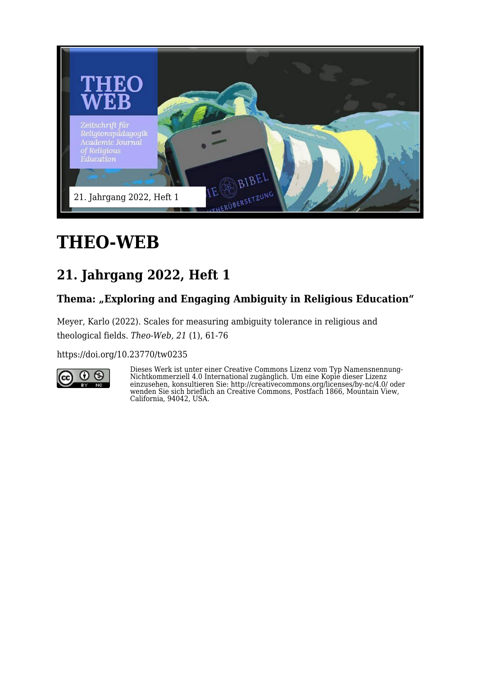

# **THEO-WEB**

# **21. Jahrgang 2022, Heft 1**

### Thema: "Exploring and Engaging Ambiguity in Religious Education"

Meyer, Karlo (2022). Scales for measuring ambiguity tolerance in religious and theological fields. *Theo-Web, 21* (1), 61-76

<https://doi.org/10.23770/tw0235>



Dieses Werk ist unter einer Creative Commons Lizenz vom Typ Namensnennung-Nichtkommerziell 4.0 International zugänglich. Um eine Kopie dieser Lizenz einzusehen, konsultieren Sie: http://creativecommons.org/licenses/by-nc/4.0/ oder wenden Sie sich brieflich an Creative Commons, Postfach 1866, Mountain View, California, 94042, USA.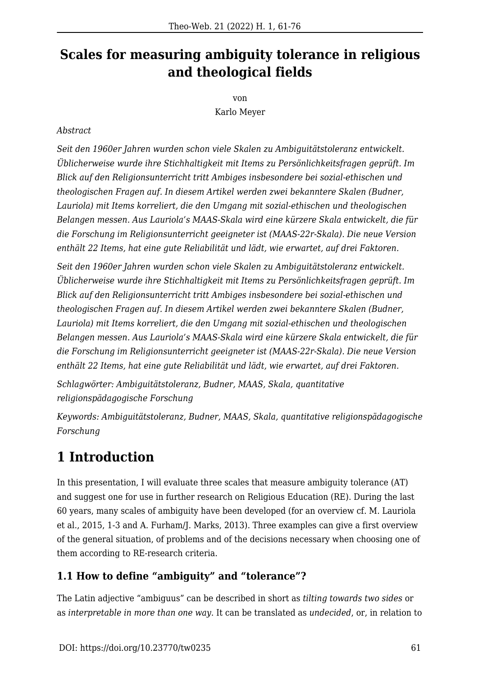# **Scales for measuring ambiguity tolerance in religious and theological fields**

von Karlo Meyer

#### *Abstract*

*Seit den 1960er Jahren wurden schon viele Skalen zu Ambiguitätstoleranz entwickelt. Üblicherweise wurde ihre Stichhaltigkeit mit Items zu Persönlichkeitsfragen geprüft. Im Blick auf den Religionsunterricht tritt Ambiges insbesondere bei sozial-ethischen und theologischen Fragen auf. In diesem Artikel werden zwei bekanntere Skalen (Budner, Lauriola) mit Items korreliert, die den Umgang mit sozial-ethischen und theologischen Belangen messen. Aus Lauriola's MAAS-Skala wird eine kürzere Skala entwickelt, die für die Forschung im Religionsunterricht geeigneter ist (MAAS-22r-Skala). Die neue Version enthält 22 Items, hat eine gute Reliabilität und lädt, wie erwartet, auf drei Faktoren.*

*Seit den 1960er Jahren wurden schon viele Skalen zu Ambiguitätstoleranz entwickelt. Üblicherweise wurde ihre Stichhaltigkeit mit Items zu Persönlichkeitsfragen geprüft. Im Blick auf den Religionsunterricht tritt Ambiges insbesondere bei sozial-ethischen und theologischen Fragen auf. In diesem Artikel werden zwei bekanntere Skalen (Budner, Lauriola) mit Items korreliert, die den Umgang mit sozial-ethischen und theologischen Belangen messen. Aus Lauriola's MAAS-Skala wird eine kürzere Skala entwickelt, die für die Forschung im Religionsunterricht geeigneter ist (MAAS-22r-Skala). Die neue Version enthält 22 Items, hat eine gute Reliabilität und lädt, wie erwartet, auf drei Faktoren.*

*Schlagwörter: Ambiguitätstoleranz, Budner, MAAS, Skala, quantitative religionspädagogische Forschung*

*Keywords: Ambiguitätstoleranz, Budner, MAAS, Skala, quantitative religionspädagogische Forschung*

# **1 Introduction**

In this presentation, I will evaluate three scales that measure ambiguity tolerance (AT) and suggest one for use in further research on Religious Education (RE). During the last 60 years, many scales of ambiguity have been developed (for an overview cf. M. Lauriola et al., 2015, 1-3 and A. Furham/J. Marks, 2013). Three examples can give a first overview of the general situation, of problems and of the decisions necessary when choosing one of them according to RE-research criteria.

### **1.1 How to define "ambiguity" and "tolerance"?**

The Latin adjective "ambiguus" can be described in short as *tilting towards two sides* or as *interpretable in more than one way*. It can be translated as *undecided*, or, in relation to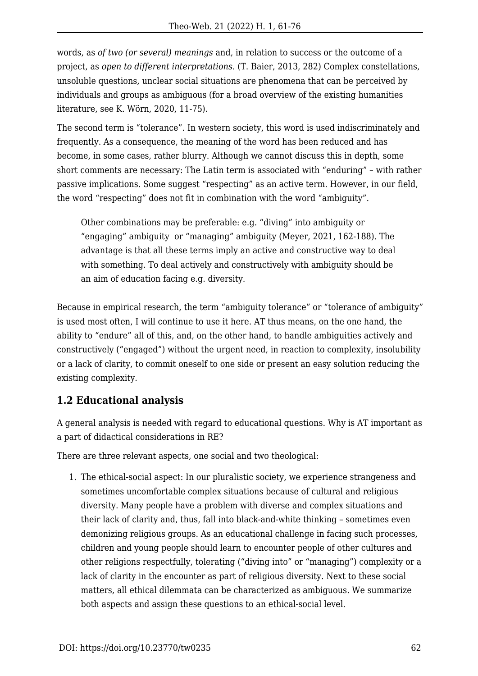words, as *of two (or several) meanings* and, in relation to success or the outcome of a project, as *open to different interpretations*. (T. Baier, 2013, 282) Complex constellations, unsoluble questions, unclear social situations are phenomena that can be perceived by individuals and groups as ambiguous (for a broad overview of the existing humanities literature, see K. Wörn, 2020, 11-75).

The second term is "tolerance". In western society, this word is used indiscriminately and frequently. As a consequence, the meaning of the word has been reduced and has become, in some cases, rather blurry. Although we cannot discuss this in depth, some short comments are necessary: The Latin term is associated with "enduring" – with rather passive implications. Some suggest "respecting" as an active term. However, in our field, the word "respecting" does not fit in combination with the word "ambiguity".

Other combinations may be preferable: e.g. "diving" into ambiguity or "engaging" ambiguity or "managing" ambiguity (Meyer, 2021, 162-188). The advantage is that all these terms imply an active and constructive way to deal with something. To deal actively and constructively with ambiguity should be an aim of education facing e.g. diversity.

Because in empirical research, the term "ambiguity tolerance" or "tolerance of ambiguity" is used most often, I will continue to use it here. AT thus means, on the one hand, the ability to "endure" all of this, and, on the other hand, to handle ambiguities actively and constructively ("engaged") without the urgent need, in reaction to complexity, insolubility or a lack of clarity, to commit oneself to one side or present an easy solution reducing the existing complexity.

#### **1.2 Educational analysis**

A general analysis is needed with regard to educational questions. Why is AT important as a part of didactical considerations in RE?

There are three relevant aspects, one social and two theological:

1. The ethical-social aspect: In our pluralistic society, we experience strangeness and sometimes uncomfortable complex situations because of cultural and religious diversity. Many people have a problem with diverse and complex situations and their lack of clarity and, thus, fall into black-and-white thinking – sometimes even demonizing religious groups. As an educational challenge in facing such processes, children and young people should learn to encounter people of other cultures and other religions respectfully, tolerating ("diving into" or "managing") complexity or a lack of clarity in the encounter as part of religious diversity. Next to these social matters, all ethical dilemmata can be characterized as ambiguous. We summarize both aspects and assign these questions to an ethical-social level.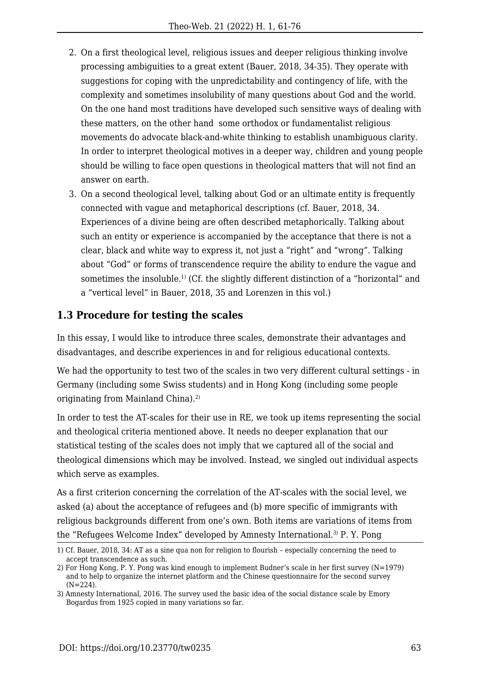- 2. On a first theological level, religious issues and deeper religious thinking involve processing ambiguities to a great extent (Bauer, 2018, 34-35). They operate with suggestions for coping with the unpredictability and contingency of life, with the complexity and sometimes insolubility of many questions about God and the world. On the one hand most traditions have developed such sensitive ways of dealing with these matters, on the other hand some orthodox or fundamentalist religious movements do advocate black-and-white thinking to establish unambiguous clarity. In order to interpret theological motives in a deeper way, children and young people should be willing to face open questions in theological matters that will not find an answer on earth.
- 3. On a second theological level, talking about God or an ultimate entity is frequently connected with vague and metaphorical descriptions (cf. Bauer, 2018, 34. Experiences of a divine being are often described metaphorically. Talking about such an entity or experience is accompanied by the acceptance that there is not a clear, black and white way to express it, not just a "right" and "wrong". Talking about "God" or forms of transcendence require the ability to endure the vague and sometimes the insoluble.<sup>1)</sup> (Cf. the slightly different distinction of a "horizontal" and a "vertical level" in Bauer, 2018, 35 and Lorenzen in this vol.)

### **1.3 Procedure for testing the scales**

In this essay, I would like to introduce three scales, demonstrate their advantages and disadvantages, and describe experiences in and for religious educational contexts.

We had the opportunity to test two of the scales in two very different cultural settings - in Germany (including some Swiss students) and in Hong Kong (including some people originating from Mainland China).<sup>2)</sup>

In order to test the AT-scales for their use in RE, we took up items representing the social and theological criteria mentioned above. It needs no deeper explanation that our statistical testing of the scales does not imply that we captured all of the social and theological dimensions which may be involved. Instead, we singled out individual aspects which serve as examples.

As a first criterion concerning the correlation of the AT-scales with the social level, we asked (a) about the acceptance of refugees and (b) more specific of immigrants with religious backgrounds different from one's own. Both items are variations of items from the "Refugees Welcome Index" developed by Amnesty International.<sup>3)</sup> P. Y. Pong

<sup>1)</sup> Cf. Bauer, 2018, 34: AT as a sine qua non for religion to flourish – especially concerning the need to accept transcendence as such.

<sup>2)</sup> For Hong Kong, P. Y. Pong was kind enough to implement Budner's scale in her first survey (N=1979) and to help to organize the internet platform and the Chinese questionnaire for the second survey  $(N=224)$ .

<sup>3)</sup> Amnesty International, 2016. The survey used the basic idea of the social distance scale by Emory Bogardus from 1925 copied in many variations so far.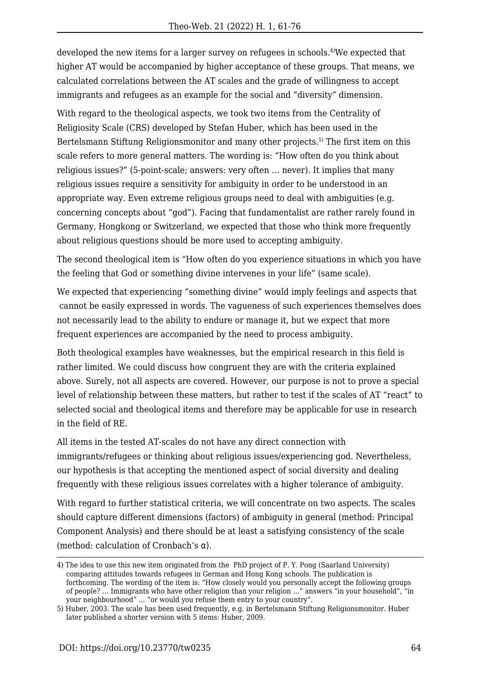developed the new items for a larger survey on refugees in schools.4)We expected that higher AT would be accompanied by higher acceptance of these groups. That means, we calculated correlations between the AT scales and the grade of willingness to accept immigrants and refugees as an example for the social and "diversity" dimension.

With regard to the theological aspects, we took two items from the Centrality of Religiosity Scale (CRS) developed by Stefan Huber, which has been used in the Bertelsmann Stiftung Religionsmonitor and many other projects.<sup>5)</sup> The first item on this scale refers to more general matters. The wording is: "How often do you think about religious issues?" (5-point-scale; answers: very often … never). It implies that many religious issues require a sensitivity for ambiguity in order to be understood in an appropriate way. Even extreme religious groups need to deal with ambiguities (e.g. concerning concepts about "god"). Facing that fundamentalist are rather rarely found in Germany, Hongkong or Switzerland, we expected that those who think more frequently about religious questions should be more used to accepting ambiguity.

The second theological item is "How often do you experience situations in which you have the feeling that God or something divine intervenes in your life" (same scale).

We expected that experiencing "something divine" would imply feelings and aspects that cannot be easily expressed in words. The vagueness of such experiences themselves does not necessarily lead to the ability to endure or manage it, but we expect that more frequent experiences are accompanied by the need to process ambiguity.

Both theological examples have weaknesses, but the empirical research in this field is rather limited. We could discuss how congruent they are with the criteria explained above. Surely, not all aspects are covered. However, our purpose is not to prove a special level of relationship between these matters, but rather to test if the scales of AT "react" to selected social and theological items and therefore may be applicable for use in research in the field of RE.

All items in the tested AT-scales do not have any direct connection with immigrants/refugees or thinking about religious issues/experiencing god. Nevertheless, our hypothesis is that accepting the mentioned aspect of social diversity and dealing frequently with these religious issues correlates with a higher tolerance of ambiguity.

With regard to further statistical criteria, we will concentrate on two aspects. The scales should capture different dimensions (factors) of ambiguity in general (method: Principal Component Analysis) and there should be at least a satisfying consistency of the scale (method: calculation of Cronbach's  $\alpha$ ).

<sup>4)</sup> The idea to use this new item originated from the PhD project of P. Y. Pong (Saarland University) comparing attitudes towards refugees in German and Hong Kong schools. The publication is forthcoming. The wording of the item is: "How closely would you personally accept the following groups of people? … Immigrants who have other religion than your religion …" answers "in your household", "in your neighbourhood" … "or would you refuse them entry to your country".

<sup>5)</sup> Huber, 2003. The scale has been used frequently, e.g. in Bertelsmann Stiftung Religionsmonitor. Huber later published a shorter version with 5 items: Huber, 2009.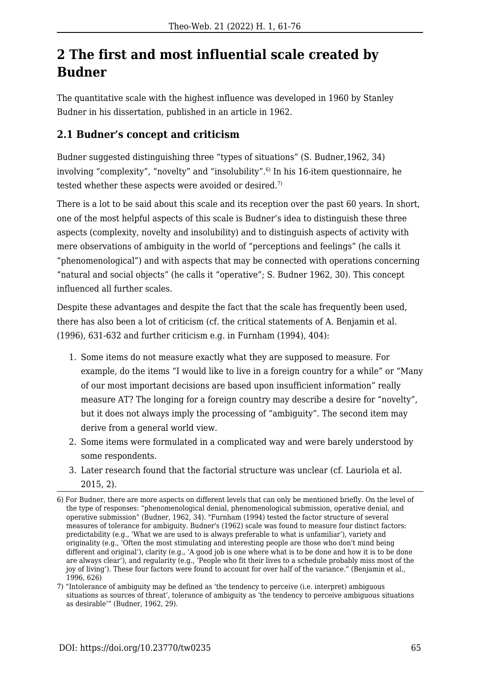# **2 The first and most influential scale created by Budner**

The quantitative scale with the highest influence was developed in 1960 by Stanley Budner in his dissertation, published in an article in 1962.

### **2.1 Budner's concept and criticism**

Budner suggested distinguishing three "types of situations" (S. Budner,1962, 34) involving "complexity", "novelty" and "insolubility".<sup>6)</sup> In his 16-item questionnaire, he tested whether these aspects were avoided or desired.<sup>7)</sup>

There is a lot to be said about this scale and its reception over the past 60 years. In short, one of the most helpful aspects of this scale is Budner's idea to distinguish these three aspects (complexity, novelty and insolubility) and to distinguish aspects of activity with mere observations of ambiguity in the world of "perceptions and feelings" (he calls it "phenomenological") and with aspects that may be connected with operations concerning "natural and social objects" (he calls it "operative"; S. Budner 1962, 30). This concept influenced all further scales.

Despite these advantages and despite the fact that the scale has frequently been used, there has also been a lot of criticism (cf. the critical statements of A. Benjamin et al. (1996), 631-632 and further criticism e.g. in Furnham (1994), 404):

- 1. Some items do not measure exactly what they are supposed to measure. For example, do the items "I would like to live in a foreign country for a while" or "Many of our most important decisions are based upon insufficient information" really measure AT? The longing for a foreign country may describe a desire for "novelty", but it does not always imply the processing of "ambiguity". The second item may derive from a general world view.
- 2. Some items were formulated in a complicated way and were barely understood by some respondents.
- 3. Later research found that the factorial structure was unclear (cf. Lauriola et al. 2015, 2).

<sup>6)</sup> For Budner, there are more aspects on different levels that can only be mentioned briefly. On the level of the type of responses: "phenomenological denial, phenomenological submission, operative denial, and operative submission" (Budner, 1962, 34). "Furnham (1994) tested the factor structure of several measures of tolerance for ambiguity. Budner's (1962) scale was found to measure four distinct factors: predictability (e.g., 'What we are used to is always preferable to what is unfamiliar'), variety and originality (e.g., 'Often the most stimulating and interesting people are those who don't mind being different and original'), clarity (e.g., 'A good job is one where what is to be done and how it is to be done are always clear'), and regularity (e.g., 'People who fit their lives to a schedule probably miss most of the joy of living'). These four factors were found to account for over half of the variance." (Benjamin et al., 1996, 626)

<sup>7) &</sup>quot;Intolerance of ambiguity may be defined as 'the tendency to perceive (i.e. interpret) ambiguous situations as sources of threat', tolerance of ambiguity as 'the tendency to perceive ambiguous situations as desirable'" (Budner, 1962, 29).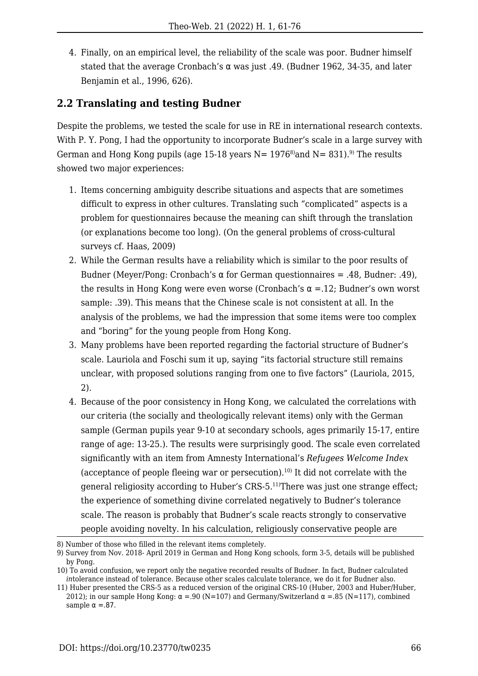4. Finally, on an empirical level, the reliability of the scale was poor. Budner himself stated that the average Cronbach's α was just .49. (Budner 1962, 34-35, and later Benjamin et al., 1996, 626).

### **2.2 Translating and testing Budner**

Despite the problems, we tested the scale for use in RE in international research contexts. With P. Y. Pong, I had the opportunity to incorporate Budner's scale in a large survey with German and Hong Kong pupils (age 15-18 years  $N = 1976<sup>8</sup>$ ) and  $N = 831$ ).<sup>9</sup> The results showed two major experiences:

- 1. Items concerning ambiguity describe situations and aspects that are sometimes difficult to express in other cultures. Translating such "complicated" aspects is a problem for questionnaires because the meaning can shift through the translation (or explanations become too long). (On the general problems of cross-cultural surveys cf. Haas, 2009)
- 2. While the German results have a reliability which is similar to the poor results of Budner (Meyer/Pong: Cronbach's α for German questionnaires = .48, Budner: .49), the results in Hong Kong were even worse (Cronbach's  $\alpha$  =.12; Budner's own worst sample: .39). This means that the Chinese scale is not consistent at all. In the analysis of the problems, we had the impression that some items were too complex and "boring" for the young people from Hong Kong.
- 3. Many problems have been reported regarding the factorial structure of Budner's scale. Lauriola and Foschi sum it up, saying "its factorial structure still remains unclear, with proposed solutions ranging from one to five factors" (Lauriola, 2015, 2).
- 4. Because of the poor consistency in Hong Kong, we calculated the correlations with our criteria (the socially and theologically relevant items) only with the German sample (German pupils year 9-10 at secondary schools, ages primarily 15-17, entire range of age: 13-25.). The results were surprisingly good. The scale even correlated significantly with an item from Amnesty International's *Refugees Welcome Index* (acceptance of people fleeing war or persecution).<sup>10)</sup> It did not correlate with the general religiosity according to Huber's CRS-5.11)There was just one strange effect; the experience of something divine correlated negatively to Budner's tolerance scale. The reason is probably that Budner's scale reacts strongly to conservative people avoiding novelty. In his calculation, religiously conservative people are

<sup>8)</sup> Number of those who filled in the relevant items completely.

<sup>9)</sup> Survey from Nov. 2018- April 2019 in German and Hong Kong schools, form 3-5, details will be published by Pong.

<sup>10)</sup> To avoid confusion, we report only the negative recorded results of Budner. In fact, Budner calculated *in*tolerance instead of tolerance. Because other scales calculate tolerance, we do it for Budner also.

<sup>11)</sup> Huber presented the CRS-5 as a reduced version of the original CRS-10 (Huber, 2003 and Huber/Huber, 2012); in our sample Hong Kong:  $\alpha$  =.90 (N=107) and Germany/Switzerland  $\alpha$  =.85 (N=117), combined sample  $\alpha = .87$ .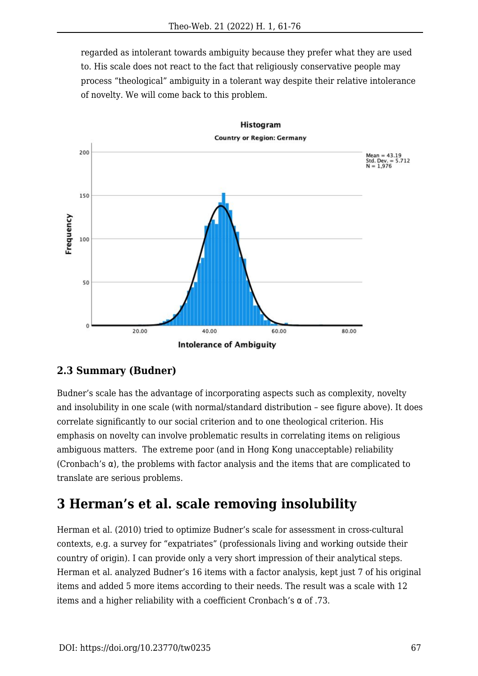regarded as intolerant towards ambiguity because they prefer what they are used to. His scale does not react to the fact that religiously conservative people may process "theological" ambiguity in a tolerant way despite their relative intolerance of novelty. We will come back to this problem.



#### **2.3 Summary (Budner)**

Budner's scale has the advantage of incorporating aspects such as complexity, novelty and insolubility in one scale (with normal/standard distribution – see figure above). It does correlate significantly to our social criterion and to one theological criterion. His emphasis on novelty can involve problematic results in correlating items on religious ambiguous matters. The extreme poor (and in Hong Kong unacceptable) reliability (Cronbach's  $\alpha$ ), the problems with factor analysis and the items that are complicated to translate are serious problems.

### **3 Herman's et al. scale removing insolubility**

Herman et al. (2010) tried to optimize Budner's scale for assessment in cross-cultural contexts, e.g. a survey for "expatriates" (professionals living and working outside their country of origin). I can provide only a very short impression of their analytical steps. Herman et al. analyzed Budner's 16 items with a factor analysis, kept just 7 of his original items and added 5 more items according to their needs. The result was a scale with 12 items and a higher reliability with a coefficient Cronbach's  $\alpha$  of .73.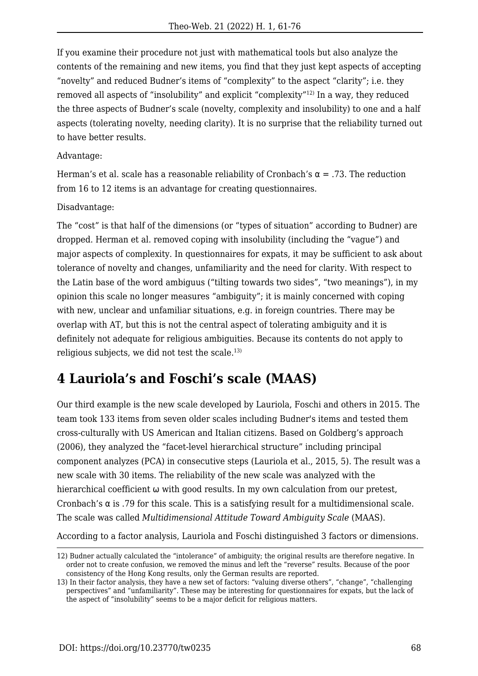If you examine their procedure not just with mathematical tools but also analyze the contents of the remaining and new items, you find that they just kept aspects of accepting "novelty" and reduced Budner's items of "complexity" to the aspect "clarity"; i.e. they removed all aspects of "insolubility" and explicit "complexity"12) In a way, they reduced the three aspects of Budner's scale (novelty, complexity and insolubility) to one and a half aspects (tolerating novelty, needing clarity). It is no surprise that the reliability turned out to have better results.

#### Advantage:

Herman's et al. scale has a reasonable reliability of Cronbach's  $\alpha = .73$ . The reduction from 16 to 12 items is an advantage for creating questionnaires.

#### Disadvantage:

The "cost" is that half of the dimensions (or "types of situation" according to Budner) are dropped. Herman et al. removed coping with insolubility (including the "vague") and major aspects of complexity. In questionnaires for expats, it may be sufficient to ask about tolerance of novelty and changes, unfamiliarity and the need for clarity. With respect to the Latin base of the word ambiguus ("tilting towards two sides", "two meanings"), in my opinion this scale no longer measures "ambiguity"; it is mainly concerned with coping with new, unclear and unfamiliar situations, e.g. in foreign countries. There may be overlap with AT, but this is not the central aspect of tolerating ambiguity and it is definitely not adequate for religious ambiguities. Because its contents do not apply to religious subjects, we did not test the scale. $13$ )

# **4 Lauriola's and Foschi's scale (MAAS)**

Our third example is the new scale developed by Lauriola, Foschi and others in 2015. The team took 133 items from seven older scales including Budner's items and tested them cross-culturally with US American and Italian citizens. Based on Goldberg's approach (2006), they analyzed the "facet-level hierarchical structure" including principal component analyzes (PCA) in consecutive steps (Lauriola et al., 2015, 5). The result was a new scale with 30 items. The reliability of the new scale was analyzed with the hierarchical coefficient ω with good results. In my own calculation from our pretest, Cronbach's  $\alpha$  is .79 for this scale. This is a satisfying result for a multidimensional scale. The scale was called *Multidimensional Attitude Toward Ambiguity Scale* (MAAS).

According to a factor analysis, Lauriola and Foschi distinguished 3 factors or dimensions.

<sup>12)</sup> Budner actually calculated the "intolerance" of ambiguity; the original results are therefore negative. In order not to create confusion, we removed the minus and left the "reverse" results. Because of the poor consistency of the Hong Kong results, only the German results are reported.

<sup>13)</sup> In their factor analysis, they have a new set of factors: "valuing diverse others", "change", "challenging perspectives" and "unfamiliarity". These may be interesting for questionnaires for expats, but the lack of the aspect of "insolubility" seems to be a major deficit for religious matters.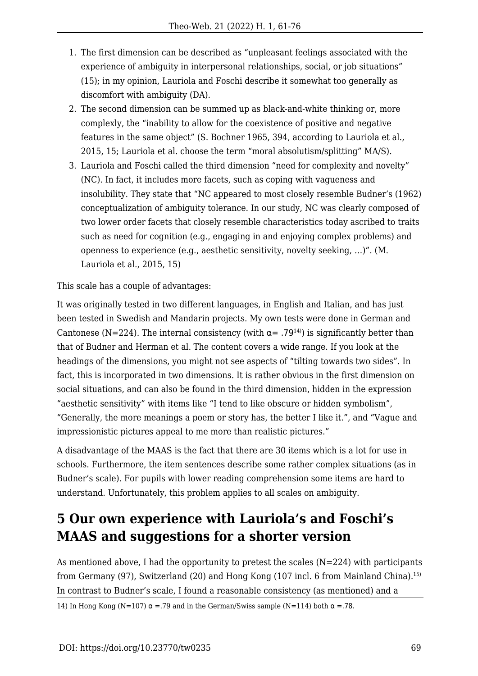- 1. The first dimension can be described as "unpleasant feelings associated with the experience of ambiguity in interpersonal relationships, social, or job situations" (15); in my opinion, Lauriola and Foschi describe it somewhat too generally as discomfort with ambiguity (DA).
- 2. The second dimension can be summed up as black-and-white thinking or, more complexly, the "inability to allow for the coexistence of positive and negative features in the same object" (S. Bochner 1965, 394, according to Lauriola et al., 2015, 15; Lauriola et al. choose the term "moral absolutism/splitting" MA/S).
- 3. Lauriola and Foschi called the third dimension "need for complexity and novelty" (NC). In fact, it includes more facets, such as coping with vagueness and insolubility. They state that "NC appeared to most closely resemble Budner's (1962) conceptualization of ambiguity tolerance. In our study, NC was clearly composed of two lower order facets that closely resemble characteristics today ascribed to traits such as need for cognition (e.g., engaging in and enjoying complex problems) and openness to experience (e.g., aesthetic sensitivity, novelty seeking, …)". (M. Lauriola et al., 2015, 15)

This scale has a couple of advantages:

It was originally tested in two different languages, in English and Italian, and has just been tested in Swedish and Mandarin projects. My own tests were done in German and Cantonese (N=224). The internal consistency (with  $\alpha$ = .79<sup>14)</sup>) is significantly better than that of Budner and Herman et al. The content covers a wide range. If you look at the headings of the dimensions, you might not see aspects of "tilting towards two sides". In fact, this is incorporated in two dimensions. It is rather obvious in the first dimension on social situations, and can also be found in the third dimension, hidden in the expression "aesthetic sensitivity" with items like "I tend to like obscure or hidden symbolism", "Generally, the more meanings a poem or story has, the better I like it.", and "Vague and impressionistic pictures appeal to me more than realistic pictures."

A disadvantage of the MAAS is the fact that there are 30 items which is a lot for use in schools. Furthermore, the item sentences describe some rather complex situations (as in Budner's scale). For pupils with lower reading comprehension some items are hard to understand. Unfortunately, this problem applies to all scales on ambiguity.

# **5 Our own experience with Lauriola's and Foschi's MAAS and suggestions for a shorter version**

As mentioned above, I had the opportunity to pretest the scales (N=224) with participants from Germany (97), Switzerland (20) and Hong Kong (107 incl. 6 from Mainland China).<sup>15)</sup> In contrast to Budner's scale, I found a reasonable consistency (as mentioned) and a

14) In Hong Kong (N=107)  $\alpha$  =.79 and in the German/Swiss sample (N=114) both  $\alpha$  =.78.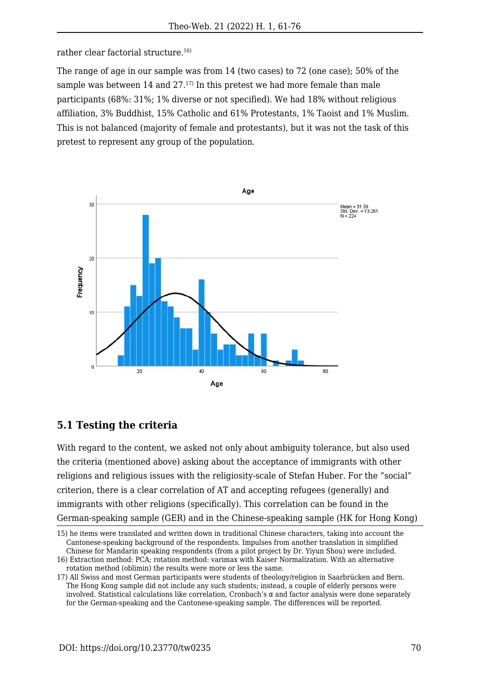rather clear factorial structure.16)

The range of age in our sample was from 14 (two cases) to 72 (one case); 50% of the sample was between  $14$  and  $27<sup>17</sup>$  In this pretest we had more female than male participants (68%: 31%; 1% diverse or not specified). We had 18% without religious affiliation, 3% Buddhist, 15% Catholic and 61% Protestants, 1% Taoist and 1% Muslim. This is not balanced (majority of female and protestants), but it was not the task of this pretest to represent any group of the population.



#### **5.1 Testing the criteria**

With regard to the content, we asked not only about ambiguity tolerance, but also used the criteria (mentioned above) asking about the acceptance of immigrants with other religions and religious issues with the religiosity-scale of Stefan Huber. For the "social" criterion, there is a clear correlation of AT and accepting refugees (generally) and immigrants with other religions (specifically). This correlation can be found in the German-speaking sample (GER) and in the Chinese-speaking sample (HK for Hong Kong)

<sup>15)</sup> he items were translated and written down in traditional Chinese characters, taking into account the Cantonese-speaking background of the respondents. Impulses from another translation in simplified Chinese for Mandarin speaking respondents (from a pilot project by Dr. Yiyun Shou) were included.

<sup>16)</sup> Extraction method: PCA; rotation method: varimax with Kaiser Normalization. With an alternative rotation method (oblimin) the results were more or less the same.

<sup>17)</sup> All Swiss and most German participants were students of theology/religion in Saarbrücken and Bern. The Hong Kong sample did not include any such students; instead, a couple of elderly persons were involved. Statistical calculations like correlation, Cronbach's α and factor analysis were done separately for the German-speaking and the Cantonese-speaking sample. The differences will be reported.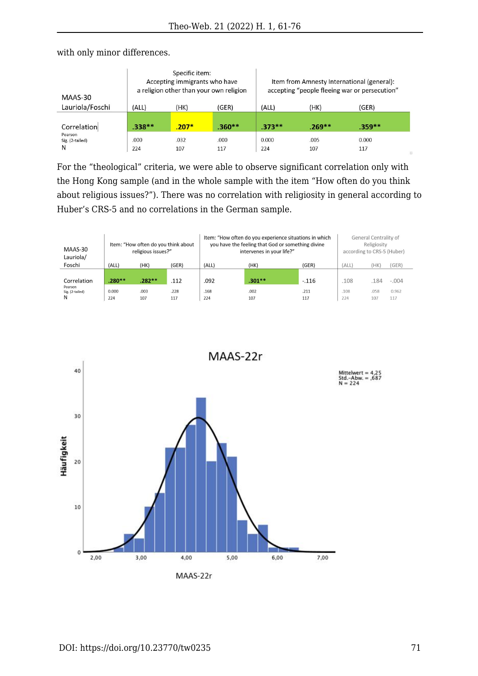with only minor differences.

| MAAS-30                |          | Specific item:<br>Accepting immigrants who have<br>a religion other than your own religion |          | Item from Amnesty International (general):<br>accepting "people fleeing war or persecution" |          |          |
|------------------------|----------|--------------------------------------------------------------------------------------------|----------|---------------------------------------------------------------------------------------------|----------|----------|
| Lauriola/Foschi        | (ALL)    | (HK)                                                                                       | (GER)    | (ALL)                                                                                       | (HK)     | (GER)    |
|                        |          |                                                                                            |          |                                                                                             |          |          |
| Correlation<br>Pearson | $.338**$ | $.207*$                                                                                    | $.360**$ | $.373**$                                                                                    | $.269**$ | $.359**$ |
| Sig. (2-tailed)        | .000     | .032                                                                                       | .000     | 0.000                                                                                       | .005     | 0.000    |
| Ν                      | 224      | 107                                                                                        | 117      | 224                                                                                         | 107      | 117      |

For the "theological" criteria, we were able to observe significant correlation only with the Hong Kong sample (and in the whole sample with the item "How often do you think about religious issues?"). There was no correlation with religiosity in general according to Huber's CRS-5 and no correlations in the German sample.

| MAAS-30<br>Lauriola/            | Item: "How often do you think about<br>religious issues?" |          |       | Item: "How often do you experience situations in which<br>you have the feeling that God or something divine<br>intervenes in your life?" | General Centrality of<br>Religiosity<br>according to CRS-5 (Huber) |         |       |      |         |
|---------------------------------|-----------------------------------------------------------|----------|-------|------------------------------------------------------------------------------------------------------------------------------------------|--------------------------------------------------------------------|---------|-------|------|---------|
| Foschi                          | (ALL)                                                     | (HK)     | (GER) | (ALL)                                                                                                                                    | (HK)                                                               | (GER)   | (ALL) | (НК  | (GER)   |
|                                 |                                                           |          |       |                                                                                                                                          |                                                                    |         |       |      |         |
| Correlation                     | $.280**$                                                  | $.282**$ | .112  | .092                                                                                                                                     | $.301**$                                                           | $-.116$ | .108  |      | $-.004$ |
| Pearson<br>Sig. (2-tailed)<br>N | 0.000                                                     | .003     | .228  | .168                                                                                                                                     | .002                                                               | .211    | .108  | .058 | 0.962   |
|                                 | 224                                                       | 107      | 117   | 224                                                                                                                                      | 107                                                                | 117     | 224   | 107  | 117     |

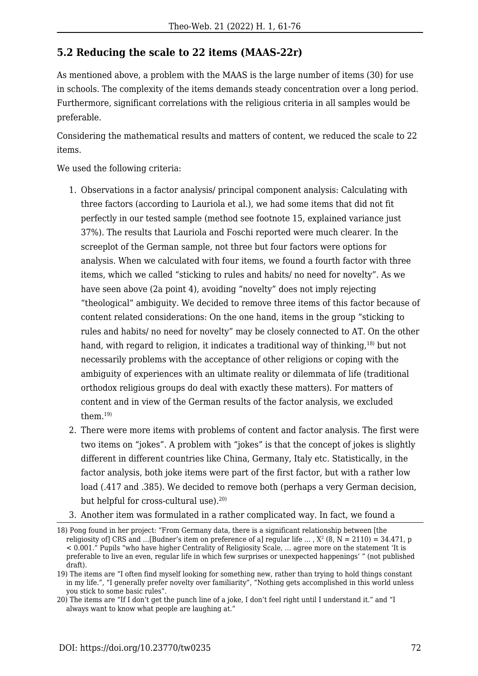### **5.2 Reducing the scale to 22 items (MAAS-22r)**

As mentioned above, a problem with the MAAS is the large number of items (30) for use in schools. The complexity of the items demands steady concentration over a long period. Furthermore, significant correlations with the religious criteria in all samples would be preferable.

Considering the mathematical results and matters of content, we reduced the scale to 22 items.

We used the following criteria:

- 1. Observations in a factor analysis/ principal component analysis: Calculating with three factors (according to Lauriola et al.), we had some items that did not fit perfectly in our tested sample (method see footnote 15, explained variance just 37%). The results that Lauriola and Foschi reported were much clearer. In the screeplot of the German sample, not three but four factors were options for analysis. When we calculated with four items, we found a fourth factor with three items, which we called "sticking to rules and habits/ no need for novelty". As we have seen above (2a point 4), avoiding "novelty" does not imply rejecting "theological" ambiguity. We decided to remove three items of this factor because of content related considerations: On the one hand, items in the group "sticking to rules and habits/ no need for novelty" may be closely connected to AT. On the other hand, with regard to religion, it indicates a traditional way of thinking,<sup>18)</sup> but not necessarily problems with the acceptance of other religions or coping with the ambiguity of experiences with an ultimate reality or dilemmata of life (traditional orthodox religious groups do deal with exactly these matters). For matters of content and in view of the German results of the factor analysis, we excluded them.19)
- 2. There were more items with problems of content and factor analysis. The first were two items on "jokes". A problem with "jokes" is that the concept of jokes is slightly different in different countries like China, Germany, Italy etc. Statistically, in the factor analysis, both joke items were part of the first factor, but with a rather low load (.417 and .385). We decided to remove both (perhaps a very German decision, but helpful for cross-cultural use).<sup>20)</sup>
- 3. Another item was formulated in a rather complicated way. In fact, we found a

<sup>18)</sup> Pong found in her project: "From Germany data, there is a significant relationship between [the religiosity of] CRS and ...[Budner's item on preference of a] regular life ... ,  $X^2$  (8, N = 2110) = 34.471, p < 0.001." Pupils "who have higher Centrality of Religiosity Scale, … agree more on the statement 'It is preferable to live an even, regular life in which few surprises or unexpected happenings' " (not published draft).

<sup>19)</sup> The items are "I often find myself looking for something new, rather than trying to hold things constant in my life.", "I generally prefer novelty over familiarity", "Nothing gets accomplished in this world unless you stick to some basic rules".

<sup>20)</sup> The items are "If I don't get the punch line of a joke, I don't feel right until I understand it." and "I always want to know what people are laughing at."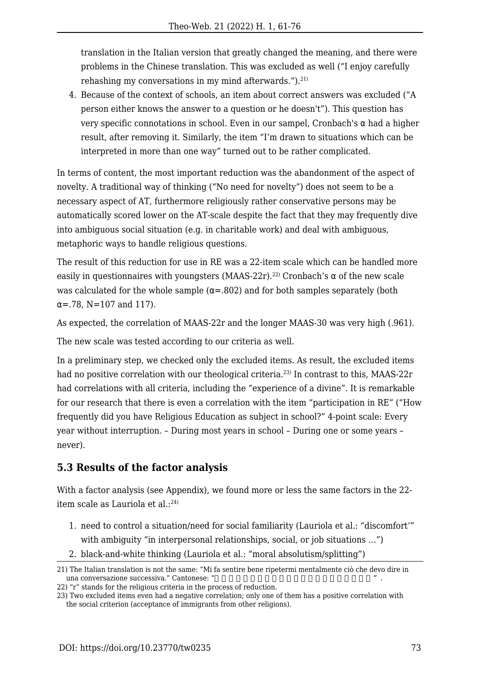translation in the Italian version that greatly changed the meaning, and there were problems in the Chinese translation. This was excluded as well ("I enjoy carefully rehashing my conversations in my mind afterwards." $)$ .<sup>21)</sup>

4. Because of the context of schools, an item about correct answers was excluded ("A person either knows the answer to a question or he doesn't"). This question has very specific connotations in school. Even in our sampel, Cronbach's α had a higher result, after removing it. Similarly, the item "I'm drawn to situations which can be interpreted in more than one way" turned out to be rather complicated.

In terms of content, the most important reduction was the abandonment of the aspect of novelty. A traditional way of thinking ("No need for novelty") does not seem to be a necessary aspect of AT, furthermore religiously rather conservative persons may be automatically scored lower on the AT-scale despite the fact that they may frequently dive into ambiguous social situation (e.g. in charitable work) and deal with ambiguous, metaphoric ways to handle religious questions.

The result of this reduction for use in RE was a 22-item scale which can be handled more easily in questionnaires with youngsters (MAAS-22r).<sup>22)</sup> Cronbach's  $\alpha$  of the new scale was calculated for the whole sample  $(\alpha = .802)$  and for both samples separately (both  $\alpha = .78$ , N=107 and 117).

As expected, the correlation of MAAS-22r and the longer MAAS-30 was very high (.961).

The new scale was tested according to our criteria as well.

In a preliminary step, we checked only the excluded items. As result, the excluded items had no positive correlation with our theological criteria.<sup>23)</sup> In contrast to this, MAAS-22r had correlations with all criteria, including the "experience of a divine". It is remarkable for our research that there is even a correlation with the item "participation in RE" ("How frequently did you have Religious Education as subject in school?" 4-point scale: Every year without interruption. – During most years in school – During one or some years – never).

#### **5.3 Results of the factor analysis**

With a factor analysis (see Appendix), we found more or less the same factors in the 22 item scale as Lauriola et al.:<sup>24)</sup>

- 1. need to control a situation/need for social familiarity (Lauriola et al.: "discomfort'" with ambiguity "in interpersonal relationships, social, or job situations ...")
- 2. black-and-white thinking (Lauriola et al.: "moral absolutism/splitting")

<sup>21)</sup> The Italian translation is not the same: "Mi fa sentire bene ripetermi mentalmente ciò che devo dire in una conversazione successiva." Cantonese: "

<sup>22) &</sup>quot;r" stands for the religious criteria in the process of reduction.

<sup>23)</sup> Two excluded items even had a negative correlation; only one of them has a positive correlation with the social criterion (acceptance of immigrants from other religions).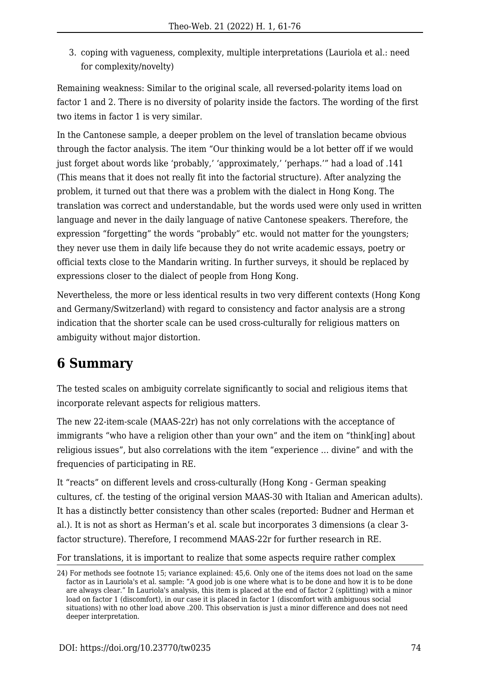3. coping with vagueness, complexity, multiple interpretations (Lauriola et al.: need for complexity/novelty)

Remaining weakness: Similar to the original scale, all reversed-polarity items load on factor 1 and 2. There is no diversity of polarity inside the factors. The wording of the first two items in factor 1 is very similar.

In the Cantonese sample, a deeper problem on the level of translation became obvious through the factor analysis. The item "Our thinking would be a lot better off if we would just forget about words like 'probably,' 'approximately,' 'perhaps,'" had a load of .141 (This means that it does not really fit into the factorial structure). After analyzing the problem, it turned out that there was a problem with the dialect in Hong Kong. The translation was correct and understandable, but the words used were only used in written language and never in the daily language of native Cantonese speakers. Therefore, the expression "forgetting" the words "probably" etc. would not matter for the youngsters; they never use them in daily life because they do not write academic essays, poetry or official texts close to the Mandarin writing. In further surveys, it should be replaced by expressions closer to the dialect of people from Hong Kong.

Nevertheless, the more or less identical results in two very different contexts (Hong Kong and Germany/Switzerland) with regard to consistency and factor analysis are a strong indication that the shorter scale can be used cross-culturally for religious matters on ambiguity without major distortion.

# **6 Summary**

The tested scales on ambiguity correlate significantly to social and religious items that incorporate relevant aspects for religious matters.

The new 22-item-scale (MAAS-22r) has not only correlations with the acceptance of immigrants "who have a religion other than your own" and the item on "think[ing] about religious issues", but also correlations with the item "experience … divine" and with the frequencies of participating in RE.

It "reacts" on different levels and cross-culturally (Hong Kong - German speaking cultures, cf. the testing of the original version MAAS-30 with Italian and American adults). It has a distinctly better consistency than other scales (reported: Budner and Herman et al.). It is not as short as Herman's et al. scale but incorporates 3 dimensions (a clear 3 factor structure). Therefore, I recommend MAAS-22r for further research in RE.

For translations, it is important to realize that some aspects require rather complex

<sup>24)</sup> For methods see footnote 15; variance explained: 45,6. Only one of the items does not load on the same factor as in Lauriola's et al. sample: "A good job is one where what is to be done and how it is to be done are always clear." In Lauriola's analysis, this item is placed at the end of factor 2 (splitting) with a minor load on factor 1 (discomfort), in our case it is placed in factor 1 (discomfort with ambiguous social situations) with no other load above .200. This observation is just a minor difference and does not need deeper interpretation.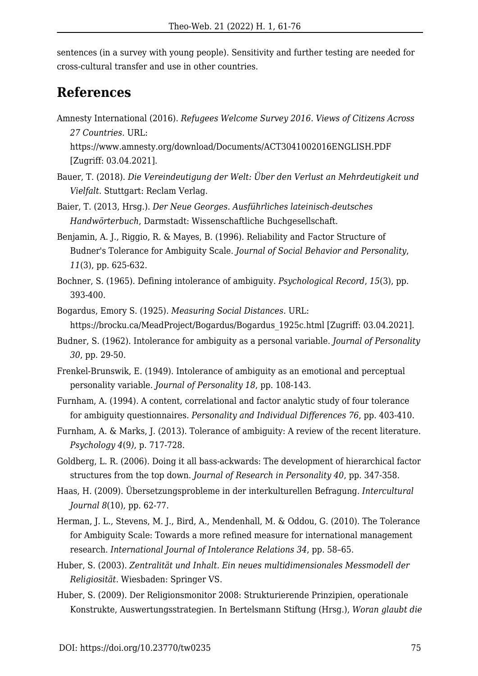sentences (in a survey with young people). Sensitivity and further testing are needed for cross-cultural transfer and use in other countries.

### **References**

Amnesty International (2016). *Refugees Welcome Survey 2016. Views of Citizens Across 27 Countries*. URL:

<https://www.amnesty.org/download/Documents/ACT3041002016ENGLISH.PDF> [Zugriff: 03.04.2021].

- Bauer, T. (2018). *Die Vereindeutigung der Welt: Über den Verlust an Mehrdeutigkeit und Vielfalt*. Stuttgart: Reclam Verlag.
- Baier, T. (2013, Hrsg.). *Der Neue Georges. Ausführliches lateinisch-deutsches Handwörterbuch*, Darmstadt: Wissenschaftliche Buchgesellschaft.
- Benjamin, A. J., Riggio, R. & Mayes, B. (1996). Reliability and Factor Structure of Budner's Tolerance for Ambiguity Scale. *Journal of Social Behavior and Personality*, *11*(3), pp. 625-632.
- Bochner, S. (1965). Defining intolerance of ambiguity. *Psychological Record*, *15*(3), pp. 393-400.
- Bogardus, Emory S. (1925). *Measuring Social Distances*. URL: [https://brocku.ca/MeadProject/Bogardus/Bogardus\\_1925c.html](https://brocku.ca/MeadProject/Bogardus/Bogardus_1925c.html) [Zugriff: 03.04.2021].
- Budner, S. (1962). Intolerance for ambiguity as a personal variable. *Journal of Personality 30*, pp. 29-50.
- Frenkel-Brunswik, E. (1949). Intolerance of ambiguity as an emotional and perceptual personality variable. *Journal of Personality 18*, pp. 108-143.
- Furnham, A. (1994). A content, correlational and factor analytic study of four tolerance for ambiguity questionnaires. *Personality and Individual Differences 76*, pp. 403-410.
- Furnham, A. & Marks, J. (2013). Tolerance of ambiguity: A review of the recent literature. *Psychology 4*(9*)*, p. 717-728.
- Goldberg, L. R. (2006). Doing it all bass-ackwards: The development of hierarchical factor structures from the top down. *Journal of Research in Personality 40*, pp. 347-358.
- Haas, H. (2009). Übersetzungsprobleme in der interkulturellen Befragung. *Intercultural Journal 8*(10), pp. 62-77.
- Herman, J. L., Stevens, M. J., Bird, A., Mendenhall, M. & Oddou, G. (2010). The Tolerance for Ambiguity Scale: Towards a more refined measure for international management research. *International Journal of Intolerance Relations 34*, pp. 58–65.
- Huber, S. (2003). *Zentralität und Inhalt. Ein neues multidimensionales Messmodell der Religiosität*. Wiesbaden: Springer VS.
- Huber, S. (2009). Der Religionsmonitor 2008: Strukturierende Prinzipien, operationale Konstrukte, Auswertungsstrategien. In Bertelsmann Stiftung (Hrsg.), *Woran glaubt die*